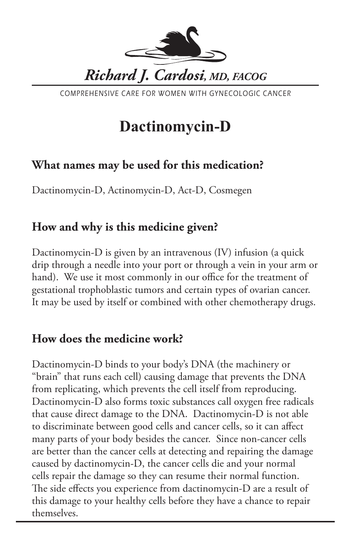

COMPREHENSIVE CARE FOR WOMEN WITH GYNECOLOGIC CANCER

# **Dactinomycin-D**

## **What names may be used for this medication?**

Dactinomycin-D, Actinomycin-D, Act-D, Cosmegen

## **How and why is this medicine given?**

Dactinomycin-D is given by an intravenous (IV) infusion (a quick drip through a needle into your port or through a vein in your arm or hand). We use it most commonly in our office for the treatment of gestational trophoblastic tumors and certain types of ovarian cancer. It may be used by itself or combined with other chemotherapy drugs.

## **How does the medicine work?**

Dactinomycin-D binds to your body's DNA (the machinery or "brain" that runs each cell) causing damage that prevents the DNA from replicating, which prevents the cell itself from reproducing. Dactinomycin-D also forms toxic substances call oxygen free radicals that cause direct damage to the DNA. Dactinomycin-D is not able to discriminate between good cells and cancer cells, so it can affect many parts of your body besides the cancer. Since non-cancer cells are better than the cancer cells at detecting and repairing the damage caused by dactinomycin-D, the cancer cells die and your normal cells repair the damage so they can resume their normal function. The side effects you experience from dactinomycin-D are a result of this damage to your healthy cells before they have a chance to repair themselves.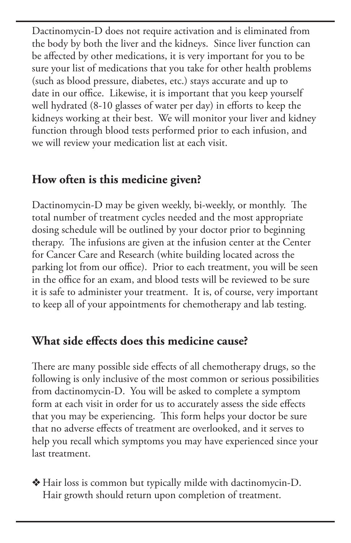Dactinomycin-D does not require activation and is eliminated from the body by both the liver and the kidneys. Since liver function can be affected by other medications, it is very important for you to be sure your list of medications that you take for other health problems (such as blood pressure, diabetes, etc.) stays accurate and up to date in our office. Likewise, it is important that you keep yourself well hydrated (8-10 glasses of water per day) in efforts to keep the kidneys working at their best. We will monitor your liver and kidney function through blood tests performed prior to each infusion, and we will review your medication list at each visit.

## **How often is this medicine given?**

Dactinomycin-D may be given weekly, bi-weekly, or monthly. The total number of treatment cycles needed and the most appropriate dosing schedule will be outlined by your doctor prior to beginning therapy. The infusions are given at the infusion center at the Center for Cancer Care and Research (white building located across the parking lot from our office). Prior to each treatment, you will be seen in the office for an exam, and blood tests will be reviewed to be sure it is safe to administer your treatment. It is, of course, very important to keep all of your appointments for chemotherapy and lab testing.

## **What side effects does this medicine cause?**

There are many possible side effects of all chemotherapy drugs, so the following is only inclusive of the most common or serious possibilities from dactinomycin-D. You will be asked to complete a symptom form at each visit in order for us to accurately assess the side effects that you may be experiencing. This form helps your doctor be sure that no adverse effects of treatment are overlooked, and it serves to help you recall which symptoms you may have experienced since your last treatment.

v Hair loss is common but typically milde with dactinomycin-D. Hair growth should return upon completion of treatment.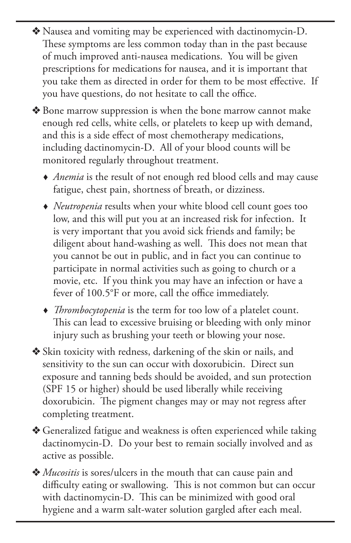- v Nausea and vomiting may be experienced with dactinomycin-D. These symptoms are less common today than in the past because of much improved anti-nausea medications. You will be given prescriptions for medications for nausea, and it is important that you take them as directed in order for them to be most effective. If you have questions, do not hesitate to call the office.
- ◆ Bone marrow suppression is when the bone marrow cannot make enough red cells, white cells, or platelets to keep up with demand, and this is a side effect of most chemotherapy medications, including dactinomycin-D. All of your blood counts will be monitored regularly throughout treatment.
	- *Anemia* is the result of not enough red blood cells and may cause fatigue, chest pain, shortness of breath, or dizziness.
	- *Neutropenia* results when your white blood cell count goes too low, and this will put you at an increased risk for infection. It is very important that you avoid sick friends and family; be diligent about hand-washing as well. This does not mean that you cannot be out in public, and in fact you can continue to participate in normal activities such as going to church or a movie, etc. If you think you may have an infection or have a fever of 100.5°F or more, call the office immediately.
	- *Thrombocytopenia* is the term for too low of a platelet count. This can lead to excessive bruising or bleeding with only minor injury such as brushing your teeth or blowing your nose.
- v Skin toxicity with redness, darkening of the skin or nails, and sensitivity to the sun can occur with doxorubicin. Direct sun exposure and tanning beds should be avoided, and sun protection (SPF 15 or higher) should be used liberally while receiving doxorubicin. The pigment changes may or may not regress after completing treatment.
- ◆ Generalized fatigue and weakness is often experienced while taking dactinomycin-D. Do your best to remain socially involved and as active as possible.
- v *Mucositis* is sores/ulcers in the mouth that can cause pain and difficulty eating or swallowing. This is not common but can occur with dactinomycin-D. This can be minimized with good oral hygiene and a warm salt-water solution gargled after each meal.